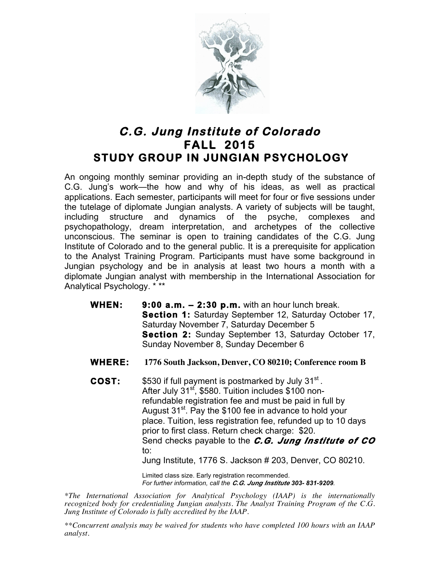

## **C.G. Jung Institute of Colorado FALL 2015 STUDY GROUP IN JUNGIAN PSYCHOLOGY**

An ongoing monthly seminar providing an in-depth study of the substance of C.G. Jung's work—the how and why of his ideas, as well as practical applications. Each semester, participants will meet for four or five sessions under the tutelage of diplomate Jungian analysts. A variety of subjects will be taught, including structure and dynamics of the psyche, complexes and psychopathology, dream interpretation, and archetypes of the collective unconscious. The seminar is open to training candidates of the C.G. Jung Institute of Colorado and to the general public. It is a prerequisite for application to the Analyst Training Program. Participants must have some background in Jungian psychology and be in analysis at least two hours a month with a diplomate Jungian analyst with membership in the International Association for Analytical Psychology. \* \*\*

- **WHEN: 9:00 a.m. 2:30 p.m.** with an hour lunch break. **Section 1:** Saturday September 12, Saturday October 17, Saturday November 7, Saturday December 5 **Section 2:** Sunday September 13, Saturday October 17, Sunday November 8, Sunday December 6
- **WHERE: 1776 South Jackson, Denver, CO 80210; Conference room B**
- **COST:** \$530 if full payment is postmarked by July 31<sup>st</sup>. After July 31<sup>st</sup>, \$580. Tuition includes \$100 nonrefundable registration fee and must be paid in full by August  $31^{st}$ . Pay the \$100 fee in advance to hold your place. Tuition, less registration fee, refunded up to 10 days prior to first class. Return check charge: \$20. Send checks payable to the *C.G. Jung Institute of CO* to:

Jung Institute, 1776 S. Jackson # 203, Denver, CO 80210.

Limited class size. Early registration recommended. *For further information, call the C.G. Jung Institute 303- 831-9209.*

*\*The International Association for Analytical Psychology (IAAP) is the internationally recognized body for credentialing Jungian analysts. The Analyst Training Program of the C.G. Jung Institute of Colorado is fully accredited by the IAAP.* 

*\*\*Concurrent analysis may be waived for students who have completed 100 hours with an IAAP analyst.*